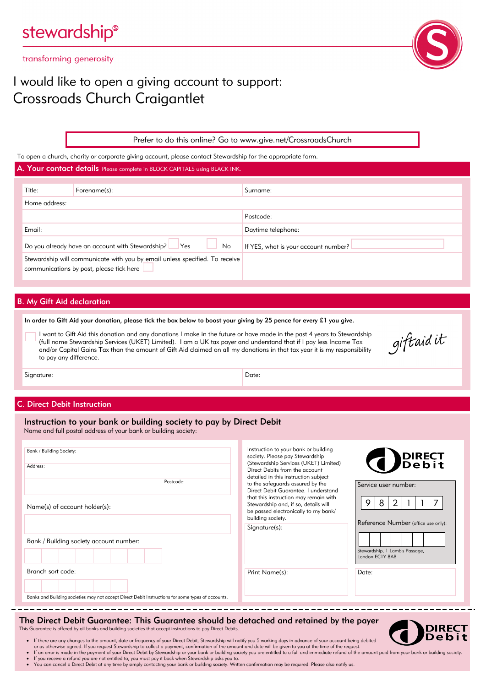

# I would like to open a giving account to support: Crossroads Church Craigantlet

Prefer to do this online? Go to www.give.net/CrossroadsChurch

A. Your contact details Please complete in BLOCK CAPITALS using BLACK INK. To open a church, charity or corporate giving account, please contact Stewardship for the appropriate form.

| Title:                                                                                                                  | Forename(s):                                                         | Surname:                             |
|-------------------------------------------------------------------------------------------------------------------------|----------------------------------------------------------------------|--------------------------------------|
| Home address:                                                                                                           |                                                                      |                                      |
|                                                                                                                         |                                                                      | Postcode:                            |
| Email:                                                                                                                  |                                                                      | Daytime telephone:                   |
|                                                                                                                         | Do you already have an account with Stewardship?<br><b>Yes</b><br>No | If YES, what is your account number? |
| Stewardship will communicate with you by email unless specified. To receive<br>communications by post, please tick here |                                                                      |                                      |

# B. My Gift Aid declaration

In order to Gift Aid your donation, please tick the box below to boost your giving by 25 pence for every £1 you give.

I want to Gift Aid this donation and any donations I make in the future or have made in the past 4 years to Stewardship (full name Stewardship Services (UKET) Limited). I am a UK tax payer and understand that if I pay less Income Tax and/or Capital Gains Tax than the amount of Gift Aid claimed on all my donations in that tax year it is my responsibility to pay any difference.

giftaidit

Signature: Date: Date: Date: Date: Date: Date: Date: Date: Date: Date: Date: Date: Date: Date: Date: Date: Date: Date: Date: Date: Date: Date: Date: Date: Date: Date: Date: Date: Date: Date: Date: Date: Date: Date: Date: D

### C. Direct Debit Instruction

# Instruction to your bank or building society to pay by Direct Debit

Name and full postal address of your bank or building society:

| Bank / Building Society:<br>Address:                                                              | Instruction to your bank or building<br>society. Please pay Stewardship<br>(Stewardship Services (UKET) Limited)<br>Direct Debits from the account<br>detailed in this instruction subject                                              | <b>DIRECT</b><br>Debit                            |  |  |
|---------------------------------------------------------------------------------------------------|-----------------------------------------------------------------------------------------------------------------------------------------------------------------------------------------------------------------------------------------|---------------------------------------------------|--|--|
| Postcode:                                                                                         | to the safeguards assured by the<br>Direct Debit Guarantee, I understand<br>that this instruction may remain with<br>Stewardship and, if so, details will<br>be passed electronically to my bank/<br>building society.<br>Signature(s): | Service user number:                              |  |  |
| Name(s) of account holder(s):                                                                     |                                                                                                                                                                                                                                         | 8<br>9<br>Reference Number (office use only):     |  |  |
|                                                                                                   |                                                                                                                                                                                                                                         |                                                   |  |  |
| Bank / Building society account number:                                                           |                                                                                                                                                                                                                                         | Stewardship, 1 Lamb's Passage,<br>London EC1Y 8AB |  |  |
| Branch sort code:                                                                                 | Print Name(s):                                                                                                                                                                                                                          | Date:                                             |  |  |
| Banks and Building societies may not accept Direct Debit Instructions for some types of accounts. |                                                                                                                                                                                                                                         |                                                   |  |  |

#### The Direct Debit Guarantee: This Guarantee should be detached and retained by the payer This Guarantee is offered by all banks and building societies that accept instructions to pay Direct Debits.



- · If there are any changes to the amount, date or frequency of your Direct Debit, Stewardship will notify you 5 working days in advance of your account being debited
- or as otherwise agreed. If you request Stewardship to collect a payment, confirmation of the amount and date will be given to you at the time of the request.<br>If an error is made in the payment of your Direct Debit by Stewa If you receive a refund you are not entitled to, you must pay it back when Stewardship asks you to.
- · You can cancel a Direct Debit at any time by simply contacting your bank or building society. Written confirmation may be required. Please also notify us.